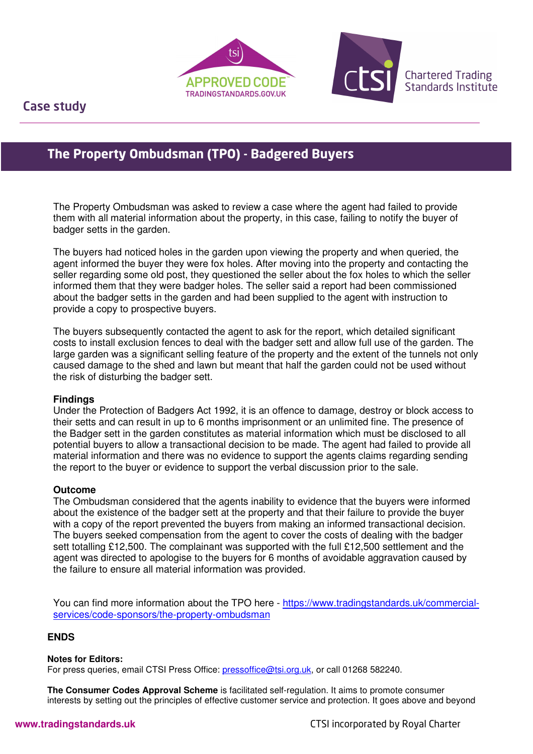



Case study

I

# **The Property Ombudsman (TPO) - Badgered Buyers**

The Property Ombudsman was asked to review a case where the agent had failed to provide them with all material information about the property, in this case, failing to notify the buyer of badger setts in the garden.

The buyers had noticed holes in the garden upon viewing the property and when queried, the agent informed the buyer they were fox holes. After moving into the property and contacting the seller regarding some old post, they questioned the seller about the fox holes to which the seller informed them that they were badger holes. The seller said a report had been commissioned about the badger setts in the garden and had been supplied to the agent with instruction to provide a copy to prospective buyers.

The buyers subsequently contacted the agent to ask for the report, which detailed significant costs to install exclusion fences to deal with the badger sett and allow full use of the garden. The large garden was a significant selling feature of the property and the extent of the tunnels not only caused damage to the shed and lawn but meant that half the garden could not be used without the risk of disturbing the badger sett.

### **Findings**

Under the Protection of Badgers Act 1992, it is an offence to damage, destroy or block access to their setts and can result in up to 6 months imprisonment or an unlimited fine. The presence of the Badger sett in the garden constitutes as material information which must be disclosed to all potential buyers to allow a transactional decision to be made. The agent had failed to provide all material information and there was no evidence to support the agents claims regarding sending the report to the buyer or evidence to support the verbal discussion prior to the sale.

# **Outcome**

The Ombudsman considered that the agents inability to evidence that the buyers were informed about the existence of the badger sett at the property and that their failure to provide the buyer with a copy of the report prevented the buyers from making an informed transactional decision. The buyers seeked compensation from the agent to cover the costs of dealing with the badger sett totalling £12,500. The complainant was supported with the full £12,500 settlement and the agent was directed to apologise to the buyers for 6 months of avoidable aggravation caused by the failure to ensure all material information was provided.

You can find more information about the TPO here - https://www.tradingstandards.uk/commercialservices/code-sponsors/the-property-ombudsman

# **ENDS**

### **Notes for Editors:**

For press queries, email CTSI Press Office: pressoffice@tsi.org.uk, or call 01268 582240.

**The Consumer Codes Approval Scheme** is facilitated self-regulation. It aims to promote consumer interests by setting out the principles of effective customer service and protection. It goes above and beyond